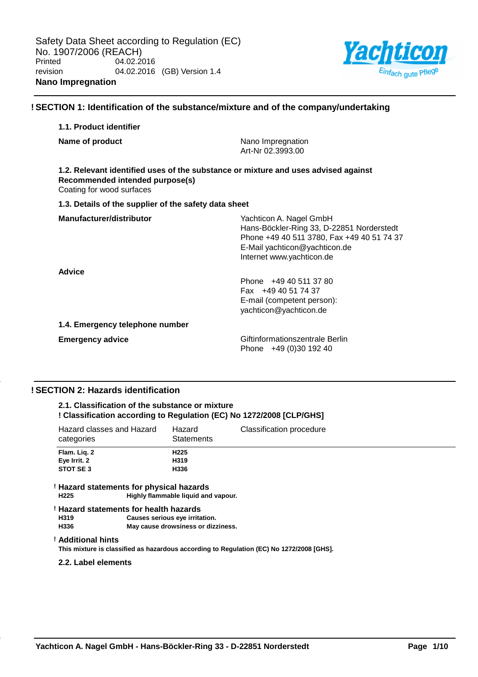

## **! SECTION 1: Identification of the substance/mixture and of the company/undertaking**

# **1.1. Product identifier Name of product** Nano Impregnation Art-Nr 02.3993.00 **1.2. Relevant identified uses of the substance or mixture and uses advised against Recommended intended purpose(s)** Coating for wood surfaces **1.3. Details of the supplier of the safety data sheet Manufacturer/distributor** Wachticon A. Nagel GmbH Hans-Böckler-Ring 33, D-22851 Norderstedt Phone +49 40 511 3780, Fax +49 40 51 74 37 E-Mail yachticon@yachticon.de Internet www.yachticon.de **Advice** Phone +49 40 511 37 80 Fax +49 40 51 74 37 E-mail (competent person): yachticon@yachticon.de **1.4. Emergency telephone number Emergency advice Emergency advice Emergency advice Giftinformationszentrale Berlin** Phone +49 (0)30 192 40

## **! SECTION 2: Hazards identification**

## **2.1. Classification of the substance or mixture ! Classification according to Regulation (EC) No 1272/2008 [CLP/GHS]**

| Hazard classes and Hazard<br>categories | Hazard<br><b>Statements</b> | Classification procedure |
|-----------------------------------------|-----------------------------|--------------------------|
| Flam. Lig. 2                            | H <sub>225</sub>            |                          |
| Eye Irrit. 2                            | H319                        |                          |
| STOT SE 3                               | H336                        |                          |
|                                         |                             |                          |

#### **! Hazard statements for physical hazards H225 Highly flammable liquid and vapour.**

#### **! Hazard statements for health hazards H319 Causes serious eye irritation. May cause drowsiness or dizziness.**

## **! Additional hints**

**This mixture is classified as hazardous according to Regulation (EC) No 1272/2008 [GHS].**

## **2.2. Label elements**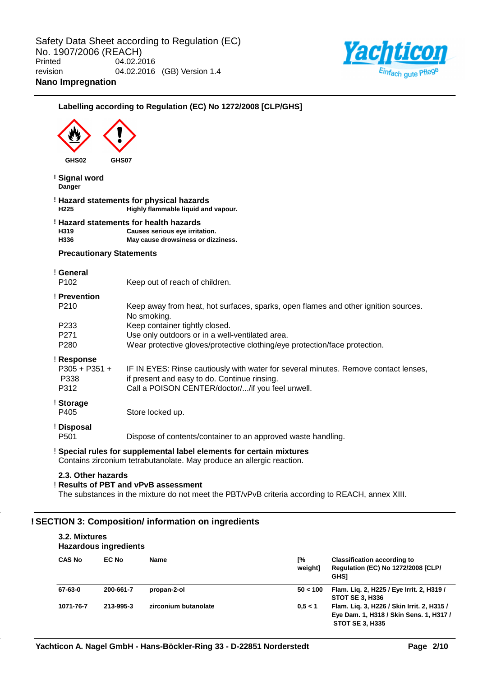

# **Labelling according to Regulation (EC) No 1272/2008 [CLP/GHS] GHS02 GHS07 ! Signal word Danger ! Hazard statements for physical hazards H225 Highly flammable liquid and vapour. ! Hazard statements for health hazards H319 Causes serious eye irritation. H336 May cause drowsiness or dizziness. Precautionary Statements** ! **General** P102 Keep out of reach of children. ! **Prevention** P210 Keep away from heat, hot surfaces, sparks, open flames and other ignition sources. No smoking. P233 Keep container tightly closed. P271 Use only outdoors or in a well-ventilated area. P280 Wear protective gloves/protective clothing/eye protection/face protection. ! **Response** P305 + P351 + P338 IF IN EYES: Rinse cautiously with water for several minutes. Remove contact lenses, if present and easy to do. Continue rinsing. P312 Call a POISON CENTER/doctor/.../if you feel unwell. ! **Storage** P405 Store locked up. ! **Disposal** P501 Dispose of contents/container to an approved waste handling. ! **Special rules for supplemental label elements for certain mixtures** Contains zirconium tetrabutanolate. May produce an allergic reaction. **2.3. Other hazards** ! **Results of PBT and vPvB assessment** The substances in the mixture do not meet the PBT/vPvB criteria according to REACH, annex XIII.

## **! SECTION 3: Composition/ information on ingredients**

**3.2. Mixtures**

| 3.Z. MIXTUTES<br><b>Hazardous ingredients</b> |              |                      |               |                                                                                                                 |  |  |
|-----------------------------------------------|--------------|----------------------|---------------|-----------------------------------------------------------------------------------------------------------------|--|--|
| <b>CAS No</b>                                 | <b>EC No</b> | <b>Name</b>          | Г%<br>weight] | <b>Classification according to</b><br><b>Regulation (EC) No 1272/2008 [CLP/</b><br><b>GHS1</b>                  |  |  |
| 67-63-0                                       | 200-661-7    | propan-2-ol          | 50 < 100      | Flam. Liq. 2, H225 / Eye Irrit. 2, H319 /<br><b>STOT SE 3. H336</b>                                             |  |  |
| 1071-76-7                                     | 213-995-3    | zirconium butanolate | 0.5 < 1       | Flam. Lig. 3, H226 / Skin Irrit. 2, H315 /<br>Eye Dam. 1, H318 / Skin Sens. 1, H317 /<br><b>STOT SE 3, H335</b> |  |  |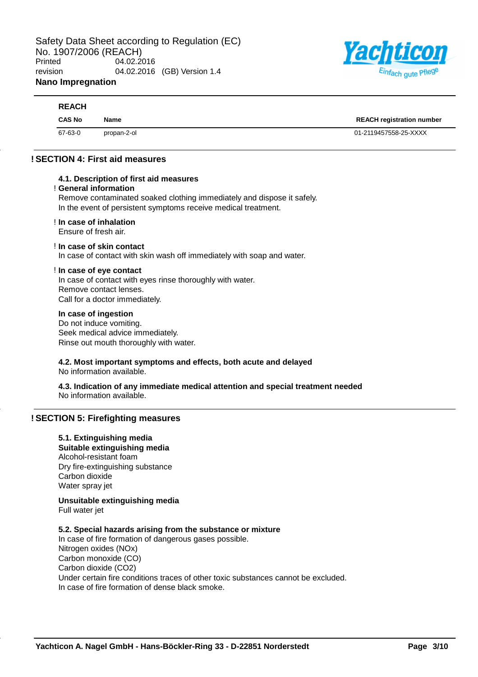

| <b>REACH</b>  |             |                                  |
|---------------|-------------|----------------------------------|
| <b>CAS No</b> | <b>Name</b> | <b>REACH registration number</b> |
| 67-63-0       | propan-2-ol | 01-2119457558-25-XXXX            |

## **! SECTION 4: First aid measures**

## **4.1. Description of first aid measures**

#### ! **General information**

Remove contaminated soaked clothing immediately and dispose it safely. In the event of persistent symptoms receive medical treatment.

#### ! **In case of inhalation**

Ensure of fresh air.

## ! **In case of skin contact**

In case of contact with skin wash off immediately with soap and water.

#### ! **In case of eye contact**

In case of contact with eyes rinse thoroughly with water. Remove contact lenses. Call for a doctor immediately.

## **In case of ingestion**

Do not induce vomiting. Seek medical advice immediately. Rinse out mouth thoroughly with water.

# **4.2. Most important symptoms and effects, both acute and delayed**

No information available.

**4.3. Indication of any immediate medical attention and special treatment needed** No information available.

## **! SECTION 5: Firefighting measures**

## **5.1. Extinguishing media**

**Suitable extinguishing media** Alcohol-resistant foam Dry fire-extinguishing substance Carbon dioxide Water spray jet

**Unsuitable extinguishing media** Full water jet

## **5.2. Special hazards arising from the substance or mixture**

In case of fire formation of dangerous gases possible. Nitrogen oxides (NOx) Carbon monoxide (CO) Carbon dioxide (CO2) Under certain fire conditions traces of other toxic substances cannot be excluded. In case of fire formation of dense black smoke.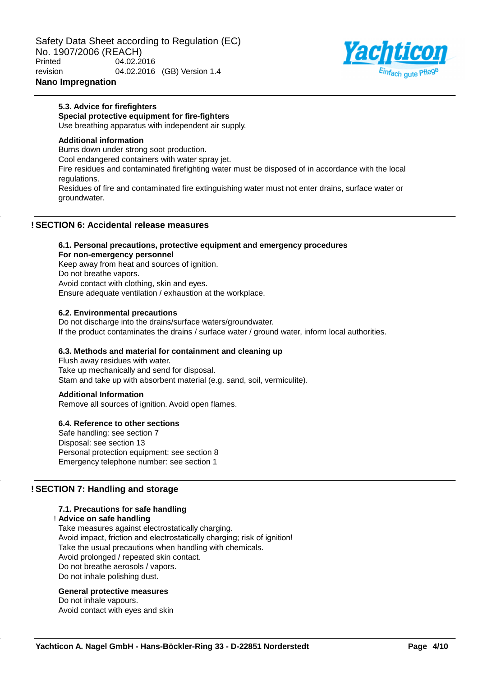Safety Data Sheet according to Regulation (EC) No. 1907/2006 (REACH) Printed 04.02.2016 revision 04.02.2016 (GB) Version 1.4



## **Nano Impregnation**

groundwater.

#### **5.3. Advice for firefighters Special protective equipment for fire-fighters**

Use breathing apparatus with independent air supply.

## **Additional information**

Burns down under strong soot production. Cool endangered containers with water spray jet. Fire residues and contaminated firefighting water must be disposed of in accordance with the local regulations. Residues of fire and contaminated fire extinguishing water must not enter drains, surface water or

## **! SECTION 6: Accidental release measures**

# **6.1. Personal precautions, protective equipment and emergency procedures For non-emergency personnel**

Keep away from heat and sources of ignition. Do not breathe vapors. Avoid contact with clothing, skin and eyes. Ensure adequate ventilation / exhaustion at the workplace.

## **6.2. Environmental precautions**

Do not discharge into the drains/surface waters/groundwater. If the product contaminates the drains / surface water / ground water, inform local authorities.

## **6.3. Methods and material for containment and cleaning up**

Flush away residues with water. Take up mechanically and send for disposal. Stam and take up with absorbent material (e.g. sand, soil, vermiculite).

## **Additional Information**

Remove all sources of ignition. Avoid open flames.

## **6.4. Reference to other sections**

Safe handling: see section 7 Disposal: see section 13 Personal protection equipment: see section 8 Emergency telephone number: see section 1

## **! SECTION 7: Handling and storage**

## **7.1. Precautions for safe handling**

! **Advice on safe handling**

Take measures against electrostatically charging. Avoid impact, friction and electrostatically charging; risk of ignition! Take the usual precautions when handling with chemicals. Avoid prolonged / repeated skin contact. Do not breathe aerosols / vapors. Do not inhale polishing dust.

## **General protective measures**

Do not inhale vapours. Avoid contact with eyes and skin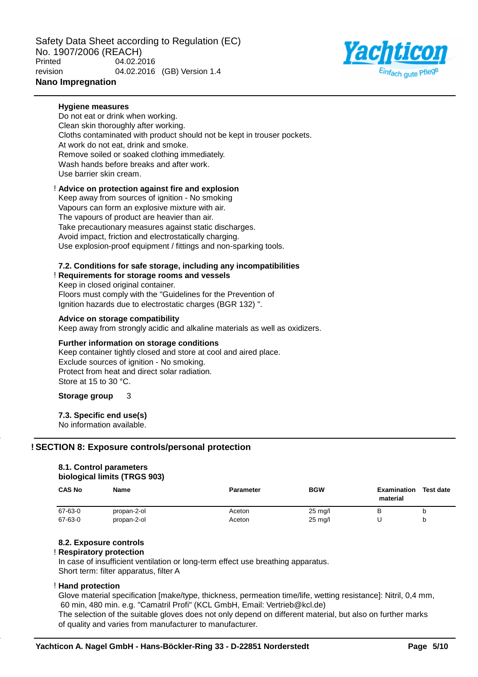Safety Data Sheet according to Regulation (EC) No. 1907/2006 (REACH) Printed 04.02.2016 revision 04.02.2016 (GB) Version 1.4 **Nano Impregnation**



# **Hygiene measures**

Do not eat or drink when working. Clean skin thoroughly after working. Cloths contaminated with product should not be kept in trouser pockets. At work do not eat, drink and smoke. Remove soiled or soaked clothing immediately. Wash hands before breaks and after work. Use barrier skin cream.

## ! **Advice on protection against fire and explosion**

Keep away from sources of ignition - No smoking Vapours can form an explosive mixture with air. The vapours of product are heavier than air. Take precautionary measures against static discharges. Avoid impact, friction and electrostatically charging. Use explosion-proof equipment / fittings and non-sparking tools.

## **7.2. Conditions for safe storage, including any incompatibilities**

## ! **Requirements for storage rooms and vessels**

Keep in closed original container. Floors must comply with the "Guidelines for the Prevention of Ignition hazards due to electrostatic charges (BGR 132) ".

## **Advice on storage compatibility**

Keep away from strongly acidic and alkaline materials as well as oxidizers.

## **Further information on storage conditions**

Keep container tightly closed and store at cool and aired place. Exclude sources of ignition - No smoking. Protect from heat and direct solar radiation. Store at 15 to 30 °C.

## **Storage group** 3

## **7.3. Specific end use(s)**

No information available.

## **! SECTION 8: Exposure controls/personal protection**

## **8.1. Control parameters biological limits (TRGS 903)**

| <b>CAS No</b> | <b>Name</b> | <b>Parameter</b> | <b>BGW</b>        | <b>Examination</b><br>material | <b>Test date</b> |
|---------------|-------------|------------------|-------------------|--------------------------------|------------------|
| 67-63-0       | propan-2-ol | Aceton           | $25 \text{ mg/l}$ | P                              |                  |
| 67-63-0       | propan-2-ol | Aceton           | $25 \text{ mg/l}$ |                                |                  |

## **8.2. Exposure controls**

## ! **Respiratory protection**

In case of insufficient ventilation or long-term effect use breathing apparatus. Short term: filter apparatus, filter A

## ! **Hand protection**

Glove material specification [make/type, thickness, permeation time/life, wetting resistance]: Nitril, 0,4 mm, 60 min, 480 min. e.g. "Camatril Profi" (KCL GmbH, Email: Vertrieb@kcl.de)

The selection of the suitable gloves does not only depend on different material, but also on further marks of quality and varies from manufacturer to manufacturer.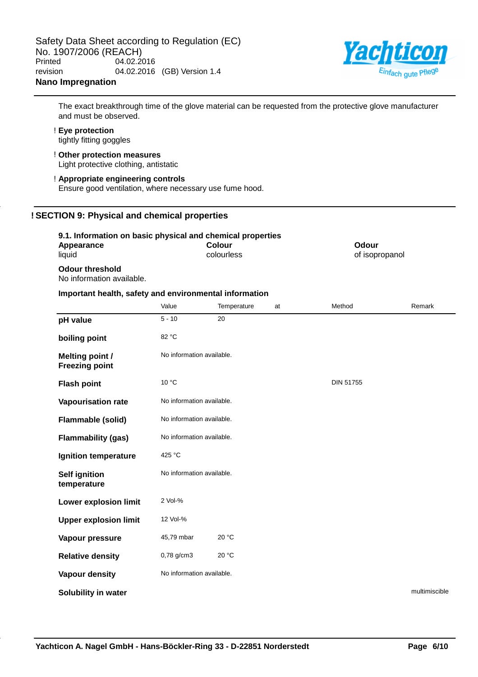

The exact breakthrough time of the glove material can be requested from the protective glove manufacturer and must be observed.

# ! **Eye protection**

tightly fitting goggles

- ! **Other protection measures** Light protective clothing, antistatic
- ! **Appropriate engineering controls** Ensure good ventilation, where necessary use fume hood.

## **! SECTION 9: Physical and chemical properties**

## **9.1. Information on basic physical and chemical properties**

| <b>U.I. MIDIMENTO II DI DUOIO PHYSICAI UNU UNUNINUAL PLUPULGUS</b> |        |                      |    |                         |               |
|--------------------------------------------------------------------|--------|----------------------|----|-------------------------|---------------|
| Appearance<br>liauid                                               |        | Colour<br>colourless |    | Odour<br>of isopropanol |               |
| <b>Odour threshold</b><br>No information available.                |        |                      |    |                         |               |
| Important health, safety and environmental information             |        |                      |    |                         |               |
|                                                                    | 1/21/2 | <b>Tomporaturo</b>   | n+ | M <sub>othod</sub>      | <b>Domark</b> |

|                                                 | Value                     | Temperature | at | Method           | Remark        |
|-------------------------------------------------|---------------------------|-------------|----|------------------|---------------|
| pH value                                        | $5 - 10$                  | 20          |    |                  |               |
| boiling point                                   | 82 °C                     |             |    |                  |               |
| <b>Melting point /</b><br><b>Freezing point</b> | No information available. |             |    |                  |               |
| <b>Flash point</b>                              | 10 °C                     |             |    | <b>DIN 51755</b> |               |
| Vapourisation rate                              | No information available. |             |    |                  |               |
| <b>Flammable (solid)</b>                        | No information available. |             |    |                  |               |
| <b>Flammability (gas)</b>                       | No information available. |             |    |                  |               |
| Ignition temperature                            | 425 °C                    |             |    |                  |               |
| <b>Self ignition</b><br>temperature             | No information available. |             |    |                  |               |
| Lower explosion limit                           | 2 Vol-%                   |             |    |                  |               |
| <b>Upper explosion limit</b>                    | 12 Vol-%                  |             |    |                  |               |
| Vapour pressure                                 | 45,79 mbar                | 20 °C       |    |                  |               |
| <b>Relative density</b>                         | 0,78 g/cm3                | 20 °C       |    |                  |               |
| Vapour density                                  | No information available. |             |    |                  |               |
| Solubility in water                             |                           |             |    |                  | multimiscible |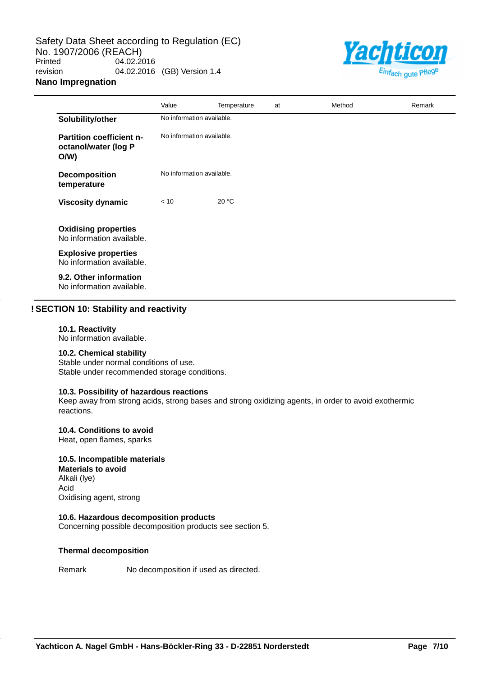Safety Data Sheet according to Regulation (EC) No. 1907/2006 (REACH)<br>Printed 04.02.2 04.02.2016 revision 04.02.2016 (GB) Version 1.4 **Nano Impregnation**



|                                                                | Value                     | Temperature | at | Method | Remark |
|----------------------------------------------------------------|---------------------------|-------------|----|--------|--------|
| Solubility/other                                               | No information available. |             |    |        |        |
| <b>Partition coefficient n-</b><br>octanol/water (log P<br>O/W | No information available. |             |    |        |        |
| <b>Decomposition</b><br>temperature                            | No information available. |             |    |        |        |
| <b>Viscosity dynamic</b>                                       | < 10                      | 20 °C       |    |        |        |
| <b>Oxidising properties</b><br>No information available.       |                           |             |    |        |        |
| <b>Explosive properties</b><br>No information available.       |                           |             |    |        |        |
| 9.2. Other information<br>No information available.            |                           |             |    |        |        |

## **! SECTION 10: Stability and reactivity**

#### **10.1. Reactivity**

No information available.

## **10.2. Chemical stability**

Stable under normal conditions of use. Stable under recommended storage conditions.

## **10.3. Possibility of hazardous reactions**

Keep away from strong acids, strong bases and strong oxidizing agents, in order to avoid exothermic reactions.

#### **10.4. Conditions to avoid**

Heat, open flames, sparks

#### **10.5. Incompatible materials**

**Materials to avoid** Alkali (lye) Acid Oxidising agent, strong

## **10.6. Hazardous decomposition products**

Concerning possible decomposition products see section 5.

## **Thermal decomposition**

Remark No decomposition if used as directed.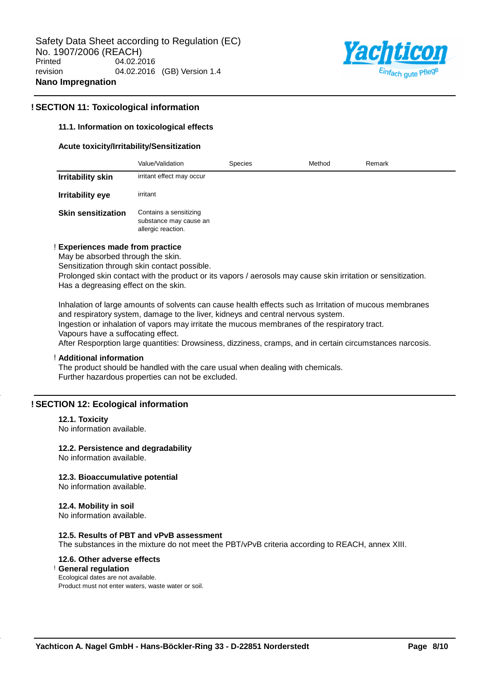

## **! SECTION 11: Toxicological information**

## **11.1. Information on toxicological effects**

#### **Acute toxicity/Irritability/Sensitization**

|                           | Value/Validation                                                       | <b>Species</b> | Method | Remark |
|---------------------------|------------------------------------------------------------------------|----------------|--------|--------|
| <b>Irritability skin</b>  | irritant effect may occur                                              |                |        |        |
| <b>Irritability eye</b>   | irritant                                                               |                |        |        |
| <b>Skin sensitization</b> | Contains a sensitizing<br>substance may cause an<br>allergic reaction. |                |        |        |

#### ! **Experiences made from practice**

May be absorbed through the skin.

Sensitization through skin contact possible.

Prolonged skin contact with the product or its vapors / aerosols may cause skin irritation or sensitization. Has a degreasing effect on the skin.

Inhalation of large amounts of solvents can cause health effects such as Irritation of mucous membranes and respiratory system, damage to the liver, kidneys and central nervous system. Ingestion or inhalation of vapors may irritate the mucous membranes of the respiratory tract. Vapours have a suffocating effect.

After Resporption large quantities: Drowsiness, dizziness, cramps, and in certain circumstances narcosis.

## ! **Additional information**

The product should be handled with the care usual when dealing with chemicals. Further hazardous properties can not be excluded.

## **! SECTION 12: Ecological information**

## **12.1. Toxicity**

No information available.

## **12.2. Persistence and degradability**

No information available.

## **12.3. Bioaccumulative potential**

No information available.

#### **12.4. Mobility in soil**

No information available.

#### **12.5. Results of PBT and vPvB assessment**

The substances in the mixture do not meet the PBT/vPvB criteria according to REACH, annex XIII.

## **12.6. Other adverse effects**

## ! **General regulation**

Ecological dates are not available. Product must not enter waters, waste water or soil.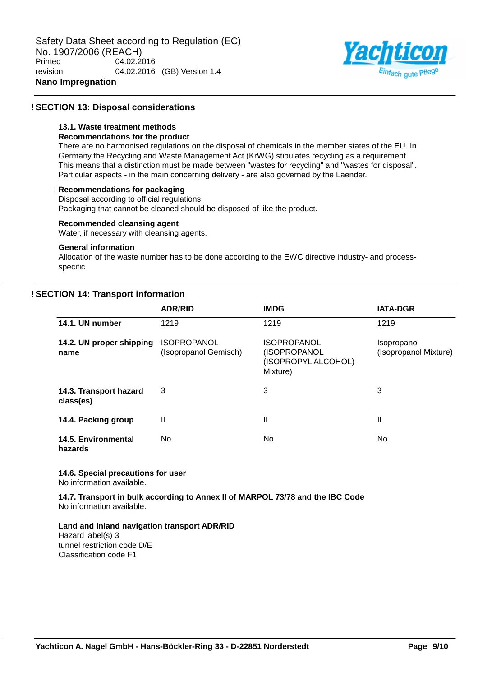

## **! SECTION 13: Disposal considerations**

## **13.1. Waste treatment methods**

## **Recommendations for the product**

There are no harmonised regulations on the disposal of chemicals in the member states of the EU. In Germany the Recycling and Waste Management Act (KrWG) stipulates recycling as a requirement. This means that a distinction must be made between "wastes for recycling" and "wastes for disposal". Particular aspects - in the main concerning delivery - are also governed by the Laender.

## ! **Recommendations for packaging**

Disposal according to official regulations.

Packaging that cannot be cleaned should be disposed of like the product.

## **Recommended cleansing agent**

Water, if necessary with cleansing agents.

## **General information**

Allocation of the waste number has to be done according to the EWC directive industry- and processspecific.

## **! SECTION 14: Transport information**

|                                       | <b>ADR/RID</b>                              | <b>IMDG</b>                                                           | <b>IATA-DGR</b>                             |
|---------------------------------------|---------------------------------------------|-----------------------------------------------------------------------|---------------------------------------------|
| 14.1. UN number                       | 1219                                        | 1219                                                                  | 1219                                        |
| 14.2. UN proper shipping<br>name      | <b>ISOPROPANOL</b><br>(Isopropanol Gemisch) | <b>ISOPROPANOL</b><br>(ISOPROPANOL<br>(ISOPROPYL ALCOHOL)<br>Mixture) | <b>Isopropanol</b><br>(Isopropanol Mixture) |
| 14.3. Transport hazard<br>class(es)   | 3                                           | 3                                                                     | 3                                           |
| 14.4. Packing group                   | Ш                                           | Ш                                                                     | Ш                                           |
| <b>14.5. Environmental</b><br>hazards | No                                          | No.                                                                   | No                                          |

## **14.6. Special precautions for user**

No information available.

**14.7. Transport in bulk according to Annex II of MARPOL 73/78 and the IBC Code** No information available.

## **Land and inland navigation transport ADR/RID**

Hazard label(s) 3 tunnel restriction code D/E Classification code F1